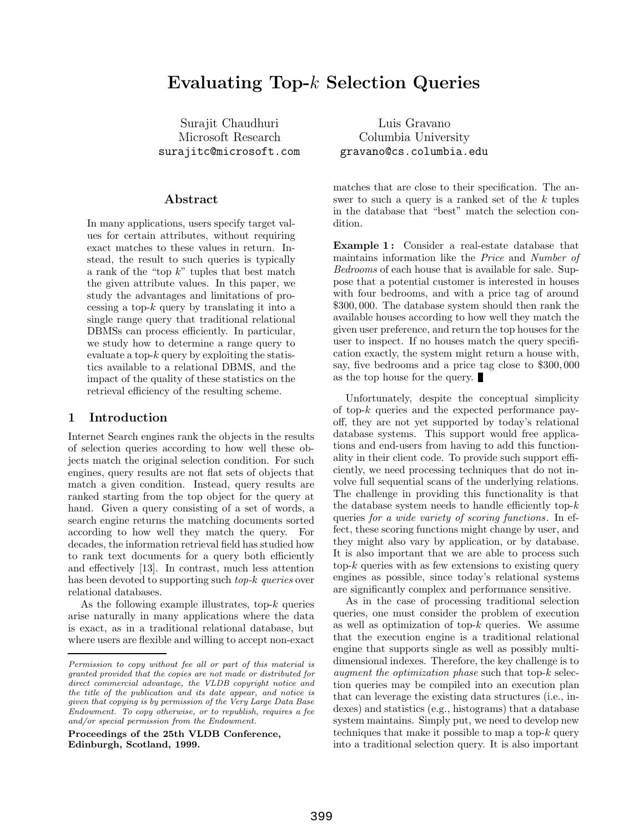# **Evaluating Top-**k **Selection Queries**

Surajit Chaudhuri Microsoft Research surajitc@microsoft.com

### **Abstract**

In many applications, users specify target values for certain attributes, without requiring exact matches to these values in return. Instead, the result to such queries is typically a rank of the "top  $k$ " tuples that best match the given attribute values. In this paper, we study the advantages and limitations of processing a top- $k$  query by translating it into a single range query that traditional relational DBMSs can process efficiently. In particular, we study how to determine a range query to evaluate a top- $k$  query by exploiting the statistics available to a relational DBMS, and the impact of the quality of these statistics on the retrieval efficiency of the resulting scheme.

### **1 Introduction**

Internet Search engines rank the objects in the results of selection queries according to how well these objects match the original selection condition. For such engines, query results are not flat sets of objects that match a given condition. Instead, query results are ranked starting from the top object for the query at hand. Given a query consisting of a set of words, a search engine returns the matching documents sorted according to how well they match the query. For decades, the information retrieval field has studied how to rank text documents for a query both efficiently and effectively [13]. In contrast, much less attention has been devoted to supporting such *top-k queries* over relational databases.

As the following example illustrates, top- $k$  queries arise naturally in many applications where the data is exact, as in a traditional relational database, but where users are flexible and willing to accept non-exact

**Proceedings of the 25th VLDB Conference, Edinburgh, Scotland, 1999.**

Luis Gravano Columbia University gravano@cs.columbia.edu

matches that are close to their specification. The answer to such a query is a ranked set of the  $k$  tuples in the database that "best" match the selection condition.

**Example 1:** Consider a real-estate database that maintains information like the Price and Number of Bedrooms of each house that is available for sale. Suppose that a potential customer is interested in houses with four bedrooms, and with a price tag of around \$300, 000. The database system should then rank the available houses according to how well they match the given user preference, and return the top houses for the user to inspect. If no houses match the query specification exactly, the system might return a house with, say, five bedrooms and a price tag close to \$300, 000 as the top house for the query.

Unfortunately, despite the conceptual simplicity of top-k queries and the expected performance payoff, they are not yet supported by today's relational database systems. This support would free applications and end-users from having to add this functionality in their client code. To provide such support efficiently, we need processing techniques that do not involve full sequential scans of the underlying relations. The challenge in providing this functionality is that the database system needs to handle efficiently top- $k$ queries for a wide variety of scoring functions. In effect, these scoring functions might change by user, and they might also vary by application, or by database. It is also important that we are able to process such top- $k$  queries with as few extensions to existing query engines as possible, since today's relational systems are significantly complex and performance sensitive.

As in the case of processing traditional selection queries, one must consider the problem of execution as well as optimization of top- $k$  queries. We assume that the execution engine is a traditional relational engine that supports single as well as possibly multidimensional indexes. Therefore, the key challenge is to augment the optimization phase such that top- $k$  selection queries may be compiled into an execution plan that can leverage the existing data structures (i.e., indexes) and statistics (e.g., histograms) that a database system maintains. Simply put, we need to develop new techniques that make it possible to map a top- $k$  query into a traditional selection query. It is also important

Permission to copy without fee all or part of this material is granted provided that the copies are not made or distributed for direct commercial advantage, the VLDB copyright notice and the title of the publication and its date appear, and notice is given that copying is by permission of the Very Large Data Base Endowment. To copy otherwise, or to republish, requires a fee and/or special permission from the Endowment.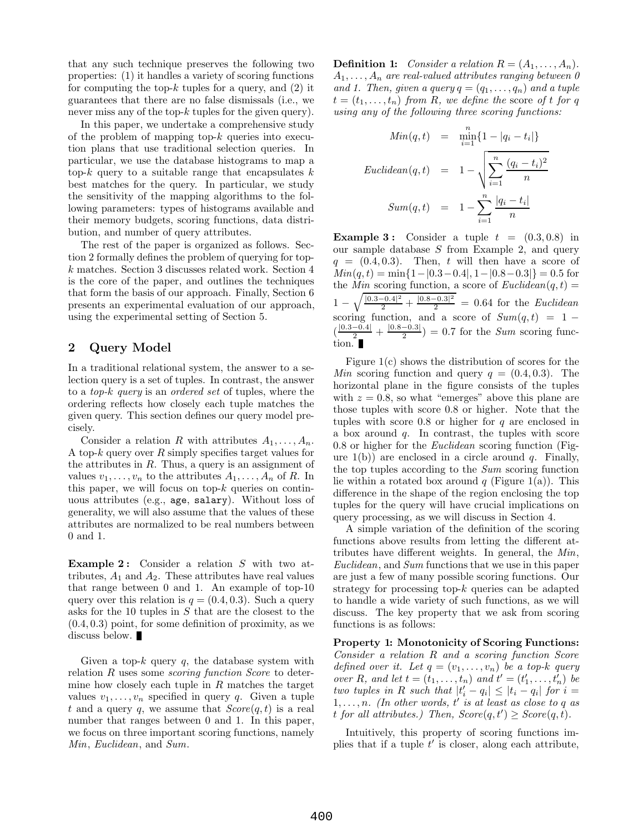that any such technique preserves the following two properties: (1) it handles a variety of scoring functions for computing the top-k tuples for a query, and  $(2)$  it guarantees that there are no false dismissals (i.e., we never miss any of the top- $k$  tuples for the given query).

In this paper, we undertake a comprehensive study of the problem of mapping top- $k$  queries into execution plans that use traditional selection queries. In particular, we use the database histograms to map a top-k query to a suitable range that encapsulates  $k$ best matches for the query. In particular, we study the sensitivity of the mapping algorithms to the following parameters: types of histograms available and their memory budgets, scoring functions, data distribution, and number of query attributes.

The rest of the paper is organized as follows. Section 2 formally defines the problem of querying for topk matches. Section 3 discusses related work. Section 4 is the core of the paper, and outlines the techniques that form the basis of our approach. Finally, Section 6 presents an experimental evaluation of our approach, using the experimental setting of Section 5.

## **2 Query Model**

In a traditional relational system, the answer to a selection query is a set of tuples. In contrast, the answer to a top-k query is an ordered set of tuples, where the ordering reflects how closely each tuple matches the given query. This section defines our query model precisely.

Consider a relation R with attributes  $A_1, \ldots, A_n$ . A top- $k$  query over  $R$  simply specifies target values for the attributes in  $R$ . Thus, a query is an assignment of values  $v_1, \ldots, v_n$  to the attributes  $A_1, \ldots, A_n$  of R. In this paper, we will focus on top- $k$  queries on continuous attributes (e.g., age, salary). Without loss of generality, we will also assume that the values of these attributes are normalized to be real numbers between 0 and 1.

**Example 2:** Consider a relation S with two attributes,  $A_1$  and  $A_2$ . These attributes have real values that range between 0 and 1. An example of top-10 query over this relation is  $q = (0.4, 0.3)$ . Such a query asks for the  $10$  tuples in  $S$  that are the closest to the  $(0.4, 0.3)$  point, for some definition of proximity, as we discuss below.

Given a top- $k$  query  $q$ , the database system with relation  $R$  uses some *scoring function Score* to determine how closely each tuple in  $R$  matches the target values  $v_1, \ldots, v_n$  specified in query q. Given a tuple t and a query q, we assume that  $Score(q, t)$  is a real number that ranges between 0 and 1. In this paper, we focus on three important scoring functions, namely Min, Euclidean, and Sum.

**Definition 1:** Consider a relation  $R = (A_1, \ldots, A_n)$ .  $A_1,\ldots,A_n$  are real-valued attributes ranging between 0 and 1. Then, given a query  $q = (q_1, \ldots, q_n)$  and a tuple  $t = (t_1, \ldots, t_n)$  from R, we define the score of t for q using any of the following three scoring functions:

$$
Min(q, t) = \min_{i=1}^{n} \{1 - |q_i - t_i|\}
$$
  

$$
Euclidean(q, t) = 1 - \sqrt{\sum_{i=1}^{n} \frac{(q_i - t_i)^2}{n}}
$$
  

$$
Sum(q, t) = 1 - \sum_{i=1}^{n} \frac{|q_i - t_i|}{n}
$$

**Example 3:** Consider a tuple  $t = (0.3, 0.8)$  in our sample database S from Example 2, and query  $q = (0.4, 0.3)$ . Then, t will then have a score of  $Min(q, t) = min{1 - |0.3 - 0.4|, 1 - |0.8 - 0.3|} = 0.5$  for the Min scoring function, a score of  $Euclidean(q, t) =$  $1 - \sqrt{\frac{|0.3 - 0.4|^2}{2} + \frac{|0.8 - 0.3|^2}{2}} = 0.64$  for the *Euclidean* scoring function, and a score of  $Sum(q, t) = 1 \left(\frac{[0.3-0.4]}{2}\right) + \frac{[0.8-0.3]}{2}$  = 0.7 for the *Sum* scoring function.

Figure 1(c) shows the distribution of scores for the *Min* scoring function and query  $q = (0.4, 0.3)$ . The horizontal plane in the figure consists of the tuples with  $z = 0.8$ , so what "emerges" above this plane are those tuples with score 0.8 or higher. Note that the tuples with score  $0.8$  or higher for q are enclosed in a box around  $q$ . In contrast, the tuples with score 0.8 or higher for the Euclidean scoring function (Figure  $1(b)$  are enclosed in a circle around q. Finally, the top tuples according to the Sum scoring function lie within a rotated box around  $q$  (Figure 1(a)). This difference in the shape of the region enclosing the top tuples for the query will have crucial implications on query processing, as we will discuss in Section 4.

A simple variation of the definition of the scoring functions above results from letting the different attributes have different weights. In general, the Min, Euclidean, and Sum functions that we use in this paper are just a few of many possible scoring functions. Our strategy for processing top- $k$  queries can be adapted to handle a wide variety of such functions, as we will discuss. The key property that we ask from scoring functions is as follows:

**Property 1: Monotonicity of Scoring Functions:** Consider a relation R and a scoring function Score defined over it. Let  $q = (v_1, \ldots, v_n)$  be a top-k query over R, and let  $t = (t_1, ..., t_n)$  and  $t' = (t'_1, ..., t'_n)$  be two tuples in R such that  $|t'_{i} - q_{i}| \leq |t_{i} - q_{i}|$  for  $i =$  $1,\ldots,n.$  (In other words, t' is at least as close to q as t for all attributes.) Then,  $Score(q, t') \geq Score(q, t)$ .

Intuitively, this property of scoring functions implies that if a tuple  $t'$  is closer, along each attribute,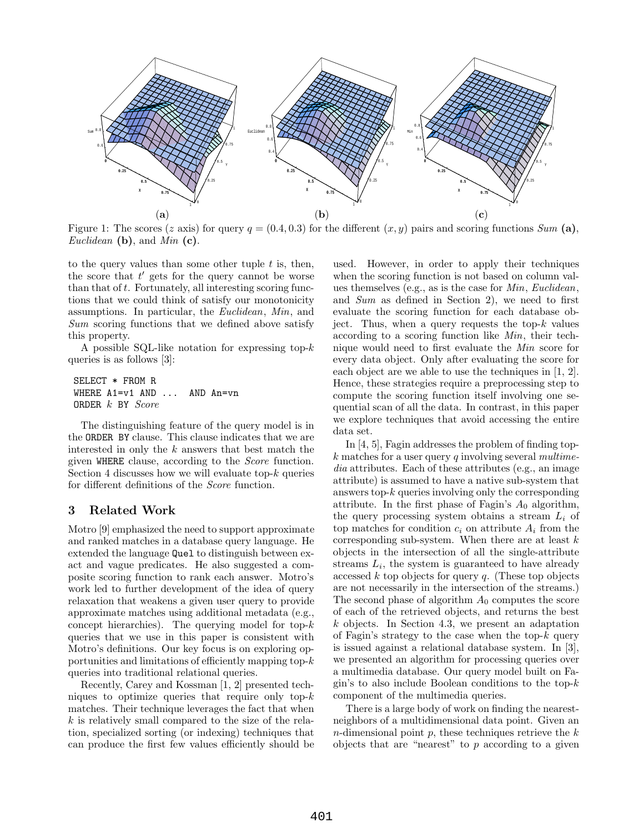

Figure 1: The scores (z axis) for query  $q = (0.4, 0.3)$  for the different  $(x, y)$  pairs and scoring functions  $Sum (a)$ , Euclidean **(b)**, and Min **(c)**.

to the query values than some other tuple  $t$  is, then, the score that  $t'$  gets for the query cannot be worse than that of t. Fortunately, all interesting scoring functions that we could think of satisfy our monotonicity assumptions. In particular, the Euclidean, Min, and Sum scoring functions that we defined above satisfy this property.

A possible SQL-like notation for expressing top-k queries is as follows [3]:

SELECT \* FROM R WHERE A1=v1 AND ... AND An=vn ORDER k BY Score

The distinguishing feature of the query model is in the ORDER BY clause. This clause indicates that we are interested in only the  $k$  answers that best match the given WHERE clause, according to the Score function. Section 4 discusses how we will evaluate top- $k$  queries for different definitions of the Score function.

## **3 Related Work**

Motro [9] emphasized the need to support approximate and ranked matches in a database query language. He extended the language Quel to distinguish between exact and vague predicates. He also suggested a composite scoring function to rank each answer. Motro's work led to further development of the idea of query relaxation that weakens a given user query to provide approximate matches using additional metadata (e.g., concept hierarchies). The querying model for top- $k$ queries that we use in this paper is consistent with Motro's definitions. Our key focus is on exploring opportunities and limitations of efficiently mapping top- $k$ queries into traditional relational queries.

Recently, Carey and Kossman [1, 2] presented techniques to optimize queries that require only top- $k$ matches. Their technique leverages the fact that when k is relatively small compared to the size of the relation, specialized sorting (or indexing) techniques that can produce the first few values efficiently should be used. However, in order to apply their techniques when the scoring function is not based on column values themselves (e.g., as is the case for Min, Euclidean, and Sum as defined in Section 2), we need to first evaluate the scoring function for each database object. Thus, when a query requests the top- $k$  values according to a scoring function like Min, their technique would need to first evaluate the Min score for every data object. Only after evaluating the score for each object are we able to use the techniques in [1, 2]. Hence, these strategies require a preprocessing step to compute the scoring function itself involving one sequential scan of all the data. In contrast, in this paper we explore techniques that avoid accessing the entire data set.

In [4, 5], Fagin addresses the problem of finding top $k$  matches for a user query  $q$  involving several *multime*dia attributes. Each of these attributes (e.g., an image attribute) is assumed to have a native sub-system that answers top- $k$  queries involving only the corresponding attribute. In the first phase of Fagin's  $A_0$  algorithm, the query processing system obtains a stream  $L_i$  of top matches for condition  $c_i$  on attribute  $A_i$  from the corresponding sub-system. When there are at least  $k$ objects in the intersection of all the single-attribute streams  $L_i$ , the system is guaranteed to have already accessed k top objects for query q. (These top objects are not necessarily in the intersection of the streams.) The second phase of algorithm  $A_0$  computes the score of each of the retrieved objects, and returns the best k objects. In Section 4.3, we present an adaptation of Fagin's strategy to the case when the top- $k$  query is issued against a relational database system. In [3], we presented an algorithm for processing queries over a multimedia database. Our query model built on Fagin's to also include Boolean conditions to the top- $k$ component of the multimedia queries.

There is a large body of work on finding the nearestneighbors of a multidimensional data point. Given an n-dimensional point  $p$ , these techniques retrieve the  $k$ objects that are "nearest" to  $p$  according to a given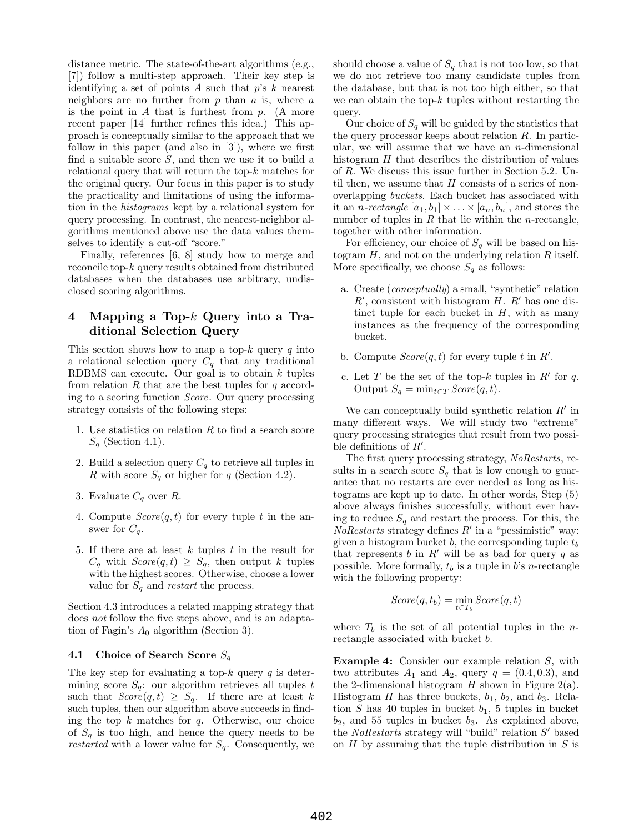distance metric. The state-of-the-art algorithms (e.g., [7]) follow a multi-step approach. Their key step is identifying a set of points A such that  $p$ 's k nearest neighbors are no further from  $p$  than  $a$  is, where  $a$ is the point in  $A$  that is furthest from  $p$ . (A more recent paper [14] further refines this idea.) This approach is conceptually similar to the approach that we follow in this paper (and also in [3]), where we first find a suitable score  $S$ , and then we use it to build a relational query that will return the top-k matches for the original query. Our focus in this paper is to study the practicality and limitations of using the information in the histograms kept by a relational system for query processing. In contrast, the nearest-neighbor algorithms mentioned above use the data values themselves to identify a cut-off "score."

Finally, references [6, 8] study how to merge and reconcile top- $k$  query results obtained from distributed databases when the databases use arbitrary, undisclosed scoring algorithms.

# **4 Mapping a Top-**k **Query into a Traditional Selection Query**

This section shows how to map a top- $k$  query  $q$  into a relational selection query  $C_q$  that any traditional RDBMS can execute. Our goal is to obtain  $k$  tuples from relation R that are the best tuples for q according to a scoring function Score. Our query processing strategy consists of the following steps:

- 1. Use statistics on relation  $R$  to find a search score  $S_q$  (Section 4.1).
- 2. Build a selection query  $C_q$  to retrieve all tuples in R with score  $S_q$  or higher for q (Section 4.2).
- 3. Evaluate  $C_q$  over R.
- 4. Compute  $Score(q, t)$  for every tuple t in the answer for  $C_q$ .
- 5. If there are at least  $k$  tuples  $t$  in the result for  $C_q$  with  $Score(q, t) \geq S_q$ , then output k tuples with the highest scores. Otherwise, choose a lower value for  $S_q$  and restart the process.

Section 4.3 introduces a related mapping strategy that does *not* follow the five steps above, and is an adaptation of Fagin's  $A_0$  algorithm (Section 3).

### **4.1** Choice of Search Score  $S_q$

The key step for evaluating a top- $k$  query  $q$  is determining score  $S_q$ : our algorithm retrieves all tuples t such that  $Score(q, t) \geq S_q$ . If there are at least k such tuples, then our algorithm above succeeds in finding the top  $k$  matches for  $q$ . Otherwise, our choice of  $S_q$  is too high, and hence the query needs to be restarted with a lower value for  $S_q$ . Consequently, we should choose a value of  $S_q$  that is not too low, so that we do not retrieve too many candidate tuples from the database, but that is not too high either, so that we can obtain the top- $k$  tuples without restarting the query.

Our choice of  $S_q$  will be guided by the statistics that the query processor keeps about relation  $R$ . In particular, we will assume that we have an  $n$ -dimensional histogram  $H$  that describes the distribution of values of R. We discuss this issue further in Section 5.2. Until then, we assume that  $H$  consists of a series of nonoverlapping buckets. Each bucket has associated with it an *n*-rectangle  $[a_1, b_1] \times \ldots \times [a_n, b_n]$ , and stores the number of tuples in  $R$  that lie within the *n*-rectangle, together with other information.

For efficiency, our choice of  $S_q$  will be based on histogram  $H$ , and not on the underlying relation  $R$  itself. More specifically, we choose  $S_q$  as follows:

- a. Create (conceptually) a small, "synthetic" relation  $R'$ , consistent with histogram H.  $R'$  has one distinct tuple for each bucket in  $H$ , with as many instances as the frequency of the corresponding bucket.
- b. Compute  $Score(q,t)$  for every tuple t in  $R'$ .
- c. Let T be the set of the top-k tuples in  $R'$  for q. Output  $S_q = \min_{t \in T} Score(q, t)$ .

We can conceptually build synthetic relation  $R'$  in many different ways. We will study two "extreme" query processing strategies that result from two possible definitions of  $R'$ .

The first query processing strategy, NoRestarts, results in a search score  $S_q$  that is low enough to guarantee that no restarts are ever needed as long as histograms are kept up to date. In other words, Step (5) above always finishes successfully, without ever having to reduce  $S_q$  and restart the process. For this, the  $NoRestarts$  strategy defines  $R'$  in a "pessimistic" way: given a histogram bucket  $b$ , the corresponding tuple  $t_b$ that represents b in  $R'$  will be as bad for query q as possible. More formally,  $t_b$  is a tuple in b's n-rectangle with the following property:

$$
Score(q, t_b) = \min_{t \in T_b} Score(q, t)
$$

where  $T_b$  is the set of all potential tuples in the *n*rectangle associated with bucket b.

**Example 4:** Consider our example relation S, with two attributes  $A_1$  and  $A_2$ , query  $q = (0.4, 0.3)$ , and the 2-dimensional histogram  $H$  shown in Figure 2(a). Histogram H has three buckets,  $b_1$ ,  $b_2$ , and  $b_3$ . Relation  $S$  has 40 tuples in bucket  $b_1$ , 5 tuples in bucket  $b_2$ , and 55 tuples in bucket  $b_3$ . As explained above, the *NoRestarts* strategy will "build" relation  $S'$  based on  $H$  by assuming that the tuple distribution in  $S$  is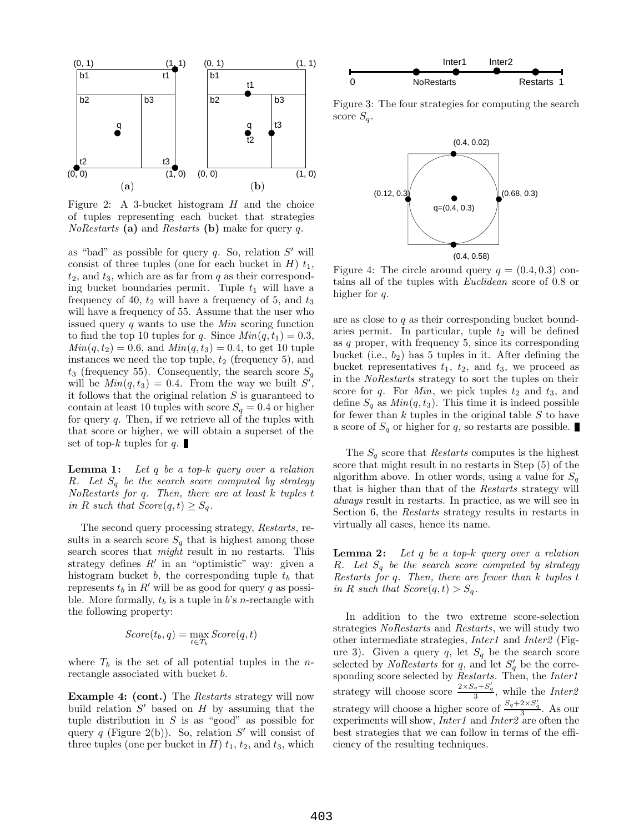

Figure 2: A 3-bucket histogram H and the choice of tuples representing each bucket that strategies NoRestarts **(a)** and Restarts **(b)** make for query q.

as "bad" as possible for query q. So, relation  $S'$  will consist of three tuples (one for each bucket in  $H$ )  $t_1$ ,  $t_2$ , and  $t_3$ , which are as far from  $q$  as their corresponding bucket boundaries permit. Tuple  $t_1$  will have a frequency of 40,  $t_2$  will have a frequency of 5, and  $t_3$ will have a frequency of 55. Assume that the user who issued query  $q$  wants to use the *Min* scoring function to find the top 10 tuples for q. Since  $Min(q, t_1)=0.3$ ,  $Min(q, t_2)=0.6$ , and  $Min(q, t_3)=0.4$ , to get 10 tuple instances we need the top tuple,  $t_2$  (frequency 5), and  $t_3$  (frequency 55). Consequently, the search score  $S_q$ will be  $Min(q, t_3) = 0.4$ . From the way we built S', it follows that the original relation  $S$  is guaranteed to contain at least 10 tuples with score  $S_q = 0.4$  or higher for query  $q$ . Then, if we retrieve all of the tuples with that score or higher, we will obtain a superset of the set of top-k tuples for q.

**Lemma 1:** Let q be a top-k query over a relation R. Let  $S_q$  be the search score computed by strategy NoRestarts for q. Then, there are at least k tuples t in R such that  $Score(q, t) \geq S_q$ .

The second query processing strategy, *Restarts*, results in a search score  $S_q$  that is highest among those search scores that *might* result in no restarts. This strategy defines  $R'$  in an "optimistic" way: given a histogram bucket  $b$ , the corresponding tuple  $t_b$  that represents  $t_b$  in R' will be as good for query q as possible. More formally,  $t_b$  is a tuple in b's n-rectangle with the following property:

$$
Score(t_b,q)=\max_{t\in T_b}Score(q,t)
$$

where  $T_b$  is the set of all potential tuples in the nrectangle associated with bucket b.

**Example 4: (cont.)** The *Restarts* strategy will now build relation  $S'$  based on  $H$  by assuming that the tuple distribution in  $S$  is as "good" as possible for query q (Figure 2(b)). So, relation S' will consist of three tuples (one per bucket in  $H(t_1, t_2, \text{ and } t_3, \text{ which})$ 



Figure 3: The four strategies for computing the search score  $S_q$ .



Figure 4: The circle around query  $q = (0.4, 0.3)$  contains all of the tuples with Euclidean score of 0.8 or higher for q.

are as close to q as their corresponding bucket boundaries permit. In particular, tuple  $t_2$  will be defined as q proper, with frequency 5, since its corresponding bucket (i.e.,  $b_2$ ) has 5 tuples in it. After defining the bucket representatives  $t_1$ ,  $t_2$ , and  $t_3$ , we proceed as in the NoRestarts strategy to sort the tuples on their score for q. For *Min*, we pick tuples  $t_2$  and  $t_3$ , and define  $S_q$  as  $Min(q, t_3)$ . This time it is indeed possible for fewer than  $k$  tuples in the original table  $S$  to have a score of  $S_q$  or higher for q, so restarts are possible.

The  $S_q$  score that *Restarts* computes is the highest score that might result in no restarts in Step (5) of the algorithm above. In other words, using a value for  $S_a$ that is higher than that of the Restarts strategy will always result in restarts. In practice, as we will see in Section 6, the Restarts strategy results in restarts in virtually all cases, hence its name.

**Lemma 2:** Let q be a top-k query over a relation R. Let  $S_q$  be the search score computed by strategy Restarts for q. Then, there are fewer than k tuples t in R such that  $Score(q, t) > S_q$ .

In addition to the two extreme score-selection strategies NoRestarts and Restarts, we will study two other intermediate strategies, *Inter1* and *Inter2* (Figure 3). Given a query  $q$ , let  $S_q$  be the search score selected by *NoRestarts* for q, and let  $S'_q$  be the corresponding score selected by *Restarts*. Then, the *Inter1* strategy will choose score  $\frac{2 \times S_q + S_q'}{3}$ , while the *Inter2* strategy will choose a higher score of  $\frac{S_q+2\times S_q'}{3}$ . As our experiments will show, *Inter1* and *Inter2* are often the best strategies that we can follow in terms of the efficiency of the resulting techniques.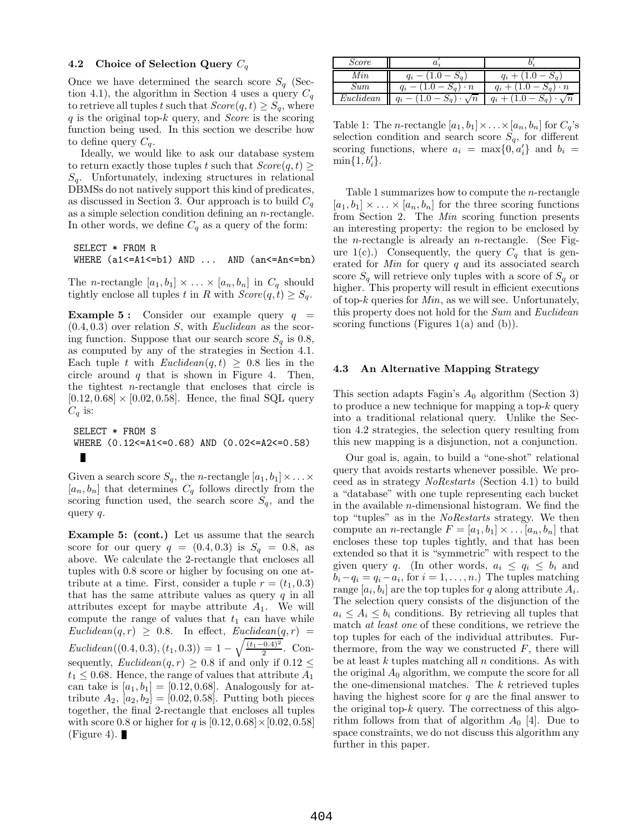#### **4.2 Choice of Selection Query** C<sup>q</sup>

Once we have determined the search score  $S_q$  (Section 4.1), the algorithm in Section 4 uses a query  $C_q$ to retrieve all tuples t such that  $Score(q, t) \geq S_q$ , where q is the original top-k query, and *Score* is the scoring function being used. In this section we describe how to define query  $C_q$ .

Ideally, we would like to ask our database system to return exactly those tuples t such that  $Score(q, t) \geq$  $S_q$ . Unfortunately, indexing structures in relational DBMSs do not natively support this kind of predicates, as discussed in Section 3. Our approach is to build  $C_q$ as a simple selection condition defining an  $n$ -rectangle. In other words, we define  $C_q$  as a query of the form:

```
SELECT * FROM R
WHERE (a1\leq A1\leq b1) AND ... AND (an\leq An\leq bn)
```
The *n*-rectangle  $[a_1, b_1] \times \ldots \times [a_n, b_n]$  in  $C_q$  should tightly enclose all tuples t in R with  $Score(q, t) \geq S_q$ .

**Example 5 :** Consider our example query  $q =$  $(0.4, 0.3)$  over relation S, with *Euclidean* as the scoring function. Suppose that our search score  $S_q$  is 0.8, as computed by any of the strategies in Section 4.1. Each tuple t with  $Euclidean(q, t) \geq 0.8$  lies in the circle around  $q$  that is shown in Figure 4. Then, the tightest n-rectangle that encloses that circle is  $[0.12, 0.68] \times [0.02, 0.58]$ . Hence, the final SQL query  $C_q$  is:

SELECT \* FROM S WHERE (0.12<=A1<=0.68) AND (0.02<=A2<=0.58)

Given a search score  $S_q$ , the *n*-rectangle  $[a_1, b_1] \times ... \times$  $[a_n, b_n]$  that determines  $C_q$  follows directly from the scoring function used, the search score  $S_q$ , and the query q.

**Example 5: (cont.)** Let us assume that the search score for our query  $q = (0.4, 0.3)$  is  $S_q = 0.8$ , as above. We calculate the 2-rectangle that encloses all tuples with 0.8 score or higher by focusing on one attribute at a time. First, consider a tuple  $r = (t_1, 0.3)$ that has the same attribute values as query  $q$  in all attributes except for maybe attribute  $A_1$ . We will compute the range of values that  $t_1$  can have while  $Euclidean(q, r) \geq 0.8$ . In effect,  $Euclidean(q, r) =$  $Euclidean((0.4, 0.3), (t_1, 0.3)) = 1 - \sqrt{\frac{(t_1 - 0.4)^2}{2}}.$  Consequently,  $Euclidean(q, r) \geq 0.8$  if and only if  $0.12 \leq$  $t_1 \leq 0.68$ . Hence, the range of values that attribute  $A_1$ can take is  $[a_1, b_1] = [0.12, 0.68]$ . Analogously for attribute  $A_2$ ,  $[a_2, b_2] = [0.02, 0.58]$ . Putting both pieces together, the final 2-rectangle that encloses all tuples with score 0.8 or higher for q is  $[0.12, 0.68] \times [0.02, 0.58]$ (Figure 4).

| <i>Score</i> |                                      |                                    |
|--------------|--------------------------------------|------------------------------------|
| ${\it Min}$  | $-S_a$ )<br>$q_i -$                  | (1.0)<br>$q_i +$<br>$ S_a$         |
| Sum          | $\sqrt{1.0} - S_q) \cdot n$<br>$q_i$ | $q_i + (1.0 - S_q) \cdot n$        |
| Euclidean    | $-S_a$ ) $\cdot \sqrt{n}$<br>$q_i$   | $q_i$<br>$-S_a$ ) $\cdot \sqrt{n}$ |

Table 1: The *n*-rectangle  $[a_1, b_1] \times ... \times [a_n, b_n]$  for  $C_q$ 's selection condition and search score  $S_q$ , for different scoring functions, where  $a_i = \max\{0, a'_i\}$  and  $b_i =$  $\min\{1, b_i'\}.$ 

Table 1 summarizes how to compute the n-rectangle  $[a_1, b_1] \times \ldots \times [a_n, b_n]$  for the three scoring functions from Section 2. The Min scoring function presents an interesting property: the region to be enclosed by the *n*-rectangle is already an *n*-rectangle. (See Figure 1(c).) Consequently, the query  $C_q$  that is generated for  $Min$  for query  $q$  and its associated search score  $S_q$  will retrieve only tuples with a score of  $S_q$  or higher. This property will result in efficient executions of top- $k$  queries for  $Min$ , as we will see. Unfortunately, this property does not hold for the Sum and Euclidean scoring functions (Figures  $1(a)$  and  $(b)$ ).

### **4.3 An Alternative Mapping Strategy**

This section adapts Fagin's  $A_0$  algorithm (Section 3) to produce a new technique for mapping a top- $k$  query into a traditional relational query. Unlike the Section 4.2 strategies, the selection query resulting from this new mapping is a disjunction, not a conjunction.

Our goal is, again, to build a "one-shot" relational query that avoids restarts whenever possible. We proceed as in strategy NoRestarts (Section 4.1) to build a "database" with one tuple representing each bucket in the available  $n$ -dimensional histogram. We find the top "tuples" as in the NoRestarts strategy. We then compute an *n*-rectangle  $F = [a_1, b_1] \times ... [a_n, b_n]$  that encloses these top tuples tightly, and that has been extended so that it is "symmetric" with respect to the given query q. (In other words,  $a_i \le q_i \le b_i$  and  $b_i-q_i = q_i-a_i$ , for  $i = 1, ..., n$ .) The tuples matching range  $[a_i, b_i]$  are the top tuples for q along attribute  $A_i$ . The selection query consists of the disjunction of the  $a_i \leq A_i \leq b_i$  conditions. By retrieving all tuples that match at least one of these conditions, we retrieve the top tuples for each of the individual attributes. Furthermore, from the way we constructed  $F$ , there will be at least  $k$  tuples matching all  $n$  conditions. As with the original  $A_0$  algorithm, we compute the score for all the one-dimensional matches. The  $k$  retrieved tuples having the highest score for  $q$  are the final answer to the original top- $k$  query. The correctness of this algorithm follows from that of algorithm  $A_0$  [4]. Due to space constraints, we do not discuss this algorithm any further in this paper.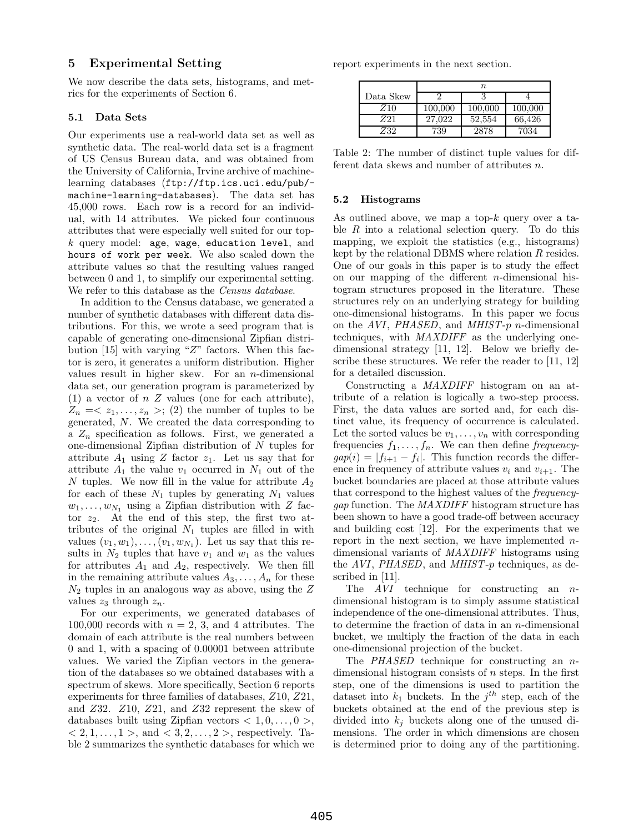# **5 Experimental Setting**

We now describe the data sets, histograms, and metrics for the experiments of Section 6.

### **5.1 Data Sets**

Our experiments use a real-world data set as well as synthetic data. The real-world data set is a fragment of US Census Bureau data, and was obtained from the University of California, Irvine archive of machinelearning databases (ftp://ftp.ics.uci.edu/pub/ machine-learning-databases). The data set has 45,000 rows. Each row is a record for an individual, with 14 attributes. We picked four continuous attributes that were especially well suited for our top $k$  query model: age, wage, education level, and hours of work per week. We also scaled down the attribute values so that the resulting values ranged between 0 and 1, to simplify our experimental setting. We refer to this database as the *Census database*.

In addition to the Census database, we generated a number of synthetic databases with different data distributions. For this, we wrote a seed program that is capable of generating one-dimensional Zipfian distribution  $[15]$  with varying "Z" factors. When this factor is zero, it generates a uniform distribution. Higher values result in higher skew. For an  $n$ -dimensional data set, our generation program is parameterized by (1) a vector of  $n \, Z$  values (one for each attribute),  $Z_n = \langle z_1, \ldots, z_n \rangle$ ; (2) the number of tuples to be generated, N. We created the data corresponding to a  $Z_n$  specification as follows. First, we generated a one-dimensional Zipfian distribution of N tuples for attribute  $A_1$  using Z factor  $z_1$ . Let us say that for attribute  $A_1$  the value  $v_1$  occurred in  $N_1$  out of the N tuples. We now fill in the value for attribute  $A_2$ for each of these  $N_1$  tuples by generating  $N_1$  values  $w_1, \ldots, w_{N_1}$  using a Zipfian distribution with Z factor  $z_2$ . At the end of this step, the first two attributes of the original  $N_1$  tuples are filled in with values  $(v_1, w_1), \ldots, (v_1, w_{N_1})$ . Let us say that this results in  $N_2$  tuples that have  $v_1$  and  $w_1$  as the values for attributes  $A_1$  and  $A_2$ , respectively. We then fill in the remaining attribute values  $A_3, \ldots, A_n$  for these  $N_2$  tuples in an analogous way as above, using the  $Z$ values  $z_3$  through  $z_n$ .

For our experiments, we generated databases of 100,000 records with  $n = 2, 3$ , and 4 attributes. The domain of each attribute is the real numbers between 0 and 1, with a spacing of 0.00001 between attribute values. We varied the Zipfian vectors in the generation of the databases so we obtained databases with a spectrum of skews. More specifically, Section 6 reports experiments for three families of databases, Z10, Z21, and Z32. Z10, Z21, and Z32 represent the skew of databases built using Zipfian vectors  $< 1, 0, \ldots, 0 >$ ,  $< 2, 1, \ldots, 1 >$ , and  $< 3, 2, \ldots, 2 >$ , respectively. Table 2 summarizes the synthetic databases for which we

report experiments in the next section.

|                 | n.      |         |         |  |  |
|-----------------|---------|---------|---------|--|--|
| Data Skew       |         |         |         |  |  |
| Z10             | 100,000 | 100,000 | 100,000 |  |  |
| Z <sub>21</sub> | 27.022  | 52,554  | 66.426  |  |  |
| Z32.            | 739     | 2878    | 7034    |  |  |

Table 2: The number of distinct tuple values for different data skews and number of attributes n.

#### **5.2 Histograms**

As outlined above, we map a top- $k$  query over a table  $R$  into a relational selection query. To do this mapping, we exploit the statistics (e.g., histograms) kept by the relational DBMS where relation R resides. One of our goals in this paper is to study the effect on our mapping of the different  $n$ -dimensional histogram structures proposed in the literature. These structures rely on an underlying strategy for building one-dimensional histograms. In this paper we focus on the AVI, PHASED, and MHIST-p n-dimensional techniques, with MAXDIFF as the underlying onedimensional strategy [11, 12]. Below we briefly describe these structures. We refer the reader to [11, 12] for a detailed discussion.

Constructing a MAXDIFF histogram on an attribute of a relation is logically a two-step process. First, the data values are sorted and, for each distinct value, its frequency of occurrence is calculated. Let the sorted values be  $v_1, \ldots, v_n$  with corresponding frequencies  $f_1, \ldots, f_n$ . We can then define frequency $gap(i) = |f_{i+1} - f_i|$ . This function records the difference in frequency of attribute values  $v_i$  and  $v_{i+1}$ . The bucket boundaries are placed at those attribute values that correspond to the highest values of the frequencygap function. The MAXDIFF histogram structure has been shown to have a good trade-off between accuracy and building cost [12]. For the experiments that we report in the next section, we have implemented  $n$ dimensional variants of MAXDIFF histograms using the AVI, PHASED, and MHIST-p techniques, as described in [11].

The  $AVI$  technique for constructing an  $n$ dimensional histogram is to simply assume statistical independence of the one-dimensional attributes. Thus, to determine the fraction of data in an  $n$ -dimensional bucket, we multiply the fraction of the data in each one-dimensional projection of the bucket.

The *PHASED* technique for constructing an *n*dimensional histogram consists of  $n$  steps. In the first step, one of the dimensions is used to partition the dataset into  $k_1$  buckets. In the  $j<sup>th</sup>$  step, each of the buckets obtained at the end of the previous step is divided into  $k_i$  buckets along one of the unused dimensions. The order in which dimensions are chosen is determined prior to doing any of the partitioning.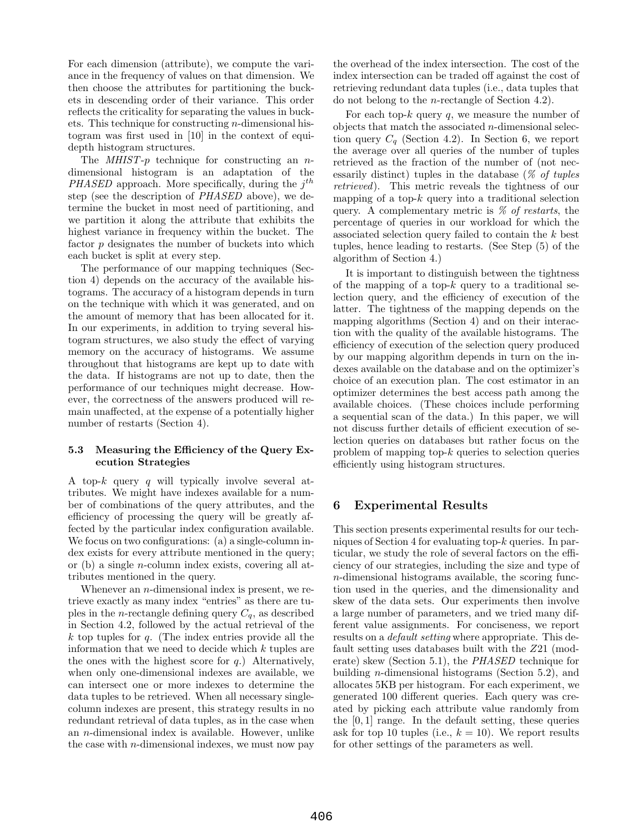For each dimension (attribute), we compute the variance in the frequency of values on that dimension. We then choose the attributes for partitioning the buckets in descending order of their variance. This order reflects the criticality for separating the values in buckets. This technique for constructing  $n$ -dimensional histogram was first used in [10] in the context of equidepth histogram structures.

The *MHIST-p* technique for constructing an  $n$ dimensional histogram is an adaptation of the PHASED approach. More specifically, during the  $j^{th}$ step (see the description of PHASED above), we determine the bucket in most need of partitioning, and we partition it along the attribute that exhibits the highest variance in frequency within the bucket. The factor p designates the number of buckets into which each bucket is split at every step.

The performance of our mapping techniques (Section 4) depends on the accuracy of the available histograms. The accuracy of a histogram depends in turn on the technique with which it was generated, and on the amount of memory that has been allocated for it. In our experiments, in addition to trying several histogram structures, we also study the effect of varying memory on the accuracy of histograms. We assume throughout that histograms are kept up to date with the data. If histograms are not up to date, then the performance of our techniques might decrease. However, the correctness of the answers produced will remain unaffected, at the expense of a potentially higher number of restarts (Section 4).

### **5.3 Measuring the Efficiency of the Query Execution Strategies**

A top- $k$  query q will typically involve several attributes. We might have indexes available for a number of combinations of the query attributes, and the efficiency of processing the query will be greatly affected by the particular index configuration available. We focus on two configurations: (a) a single-column index exists for every attribute mentioned in the query; or (b) a single n-column index exists, covering all attributes mentioned in the query.

Whenever an  $n$ -dimensional index is present, we retrieve exactly as many index "entries" as there are tuples in the *n*-rectangle defining query  $C_q$ , as described in Section 4.2, followed by the actual retrieval of the k top tuples for  $q$ . (The index entries provide all the information that we need to decide which k tuples are the ones with the highest score for  $q$ .) Alternatively, when only one-dimensional indexes are available, we can intersect one or more indexes to determine the data tuples to be retrieved. When all necessary singlecolumn indexes are present, this strategy results in no redundant retrieval of data tuples, as in the case when an n-dimensional index is available. However, unlike the case with  $n$ -dimensional indexes, we must now pay

the overhead of the index intersection. The cost of the index intersection can be traded off against the cost of retrieving redundant data tuples (i.e., data tuples that do not belong to the n-rectangle of Section 4.2).

For each top- $k$  query  $q$ , we measure the number of objects that match the associated  $n$ -dimensional selection query  $C_q$  (Section 4.2). In Section 6, we report the average over all queries of the number of tuples retrieved as the fraction of the number of (not necessarily distinct) tuples in the database ( $\%$  of tuples retrieved). This metric reveals the tightness of our mapping of a top- $k$  query into a traditional selection query. A complementary metric is  $\%$  of restarts, the percentage of queries in our workload for which the associated selection query failed to contain the k best tuples, hence leading to restarts. (See Step (5) of the algorithm of Section 4.)

It is important to distinguish between the tightness of the mapping of a top- $k$  query to a traditional selection query, and the efficiency of execution of the latter. The tightness of the mapping depends on the mapping algorithms (Section 4) and on their interaction with the quality of the available histograms. The efficiency of execution of the selection query produced by our mapping algorithm depends in turn on the indexes available on the database and on the optimizer's choice of an execution plan. The cost estimator in an optimizer determines the best access path among the available choices. (These choices include performing a sequential scan of the data.) In this paper, we will not discuss further details of efficient execution of selection queries on databases but rather focus on the problem of mapping top- $k$  queries to selection queries efficiently using histogram structures.

## **6 Experimental Results**

This section presents experimental results for our techniques of Section 4 for evaluating top-k queries. In particular, we study the role of several factors on the efficiency of our strategies, including the size and type of n-dimensional histograms available, the scoring function used in the queries, and the dimensionality and skew of the data sets. Our experiments then involve a large number of parameters, and we tried many different value assignments. For conciseness, we report results on a default setting where appropriate. This default setting uses databases built with the Z21 (moderate) skew (Section 5.1), the PHASED technique for building n-dimensional histograms (Section 5.2), and allocates 5KB per histogram. For each experiment, we generated 100 different queries. Each query was created by picking each attribute value randomly from the [0, 1] range. In the default setting, these queries ask for top 10 tuples (i.e.,  $k = 10$ ). We report results for other settings of the parameters as well.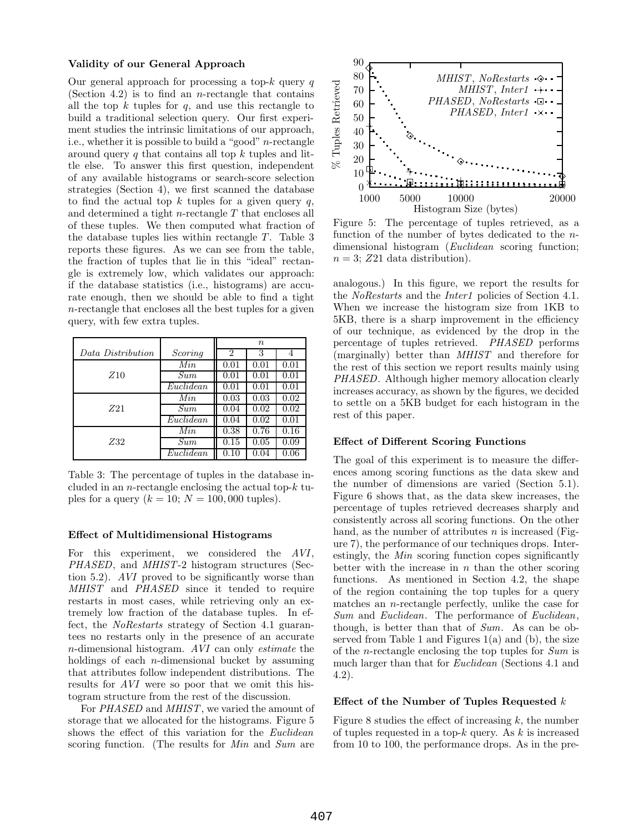### **Validity of our General Approach**

Our general approach for processing a top- $k$  query  $q$ (Section 4.2) is to find an *n*-rectangle that contains all the top  $k$  tuples for  $q$ , and use this rectangle to build a traditional selection query. Our first experiment studies the intrinsic limitations of our approach, i.e., whether it is possible to build a "good" n-rectangle around query  $q$  that contains all top  $k$  tuples and little else. To answer this first question, independent of any available histograms or search-score selection strategies (Section 4), we first scanned the database to find the actual top  $k$  tuples for a given query  $q$ , and determined a tight *n*-rectangle  $T$  that encloses all of these tuples. We then computed what fraction of the database tuples lies within rectangle  $T$ . Table 3 reports these figures. As we can see from the table, the fraction of tuples that lie in this "ideal" rectangle is extremely low, which validates our approach: if the database statistics (i.e., histograms) are accurate enough, then we should be able to find a tight n-rectangle that encloses all the best tuples for a given query, with few extra tuples.

|                   |           | $\boldsymbol{n}$ |      |      |
|-------------------|-----------|------------------|------|------|
| Data Distribution | Scoring   | $\overline{2}$   | 3    | 4    |
|                   | Min       | 0.01             | 0.01 | 0.01 |
| <i>Z</i> 10       | Sum       | 0.01             | 0.01 | 0.01 |
|                   | Euclidean | 0.01             | 0.01 | 0.01 |
|                   | Min       | 0.03             | 0.03 | 0.02 |
| Z21               | Sum       | 0.04             | 0.02 | 0.02 |
|                   | Euclidean | 0.04             | 0.02 | 0.01 |
|                   | Min       | 0.38             | 0.76 | 0.16 |
| Z32               | Sum       | 0.15             | 0.05 | 0.09 |
|                   | Euclidean | 0.10             | 0.04 | 0.06 |

Table 3: The percentage of tuples in the database included in an *n*-rectangle enclosing the actual top- $k$  tuples for a query  $(k = 10; N = 100,000$  tuples).

#### **Effect of Multidimensional Histograms**

For this experiment, we considered the AVI, PHASED, and MHIST-2 histogram structures (Section 5.2). AVI proved to be significantly worse than MHIST and PHASED since it tended to require restarts in most cases, while retrieving only an extremely low fraction of the database tuples. In effect, the NoRestarts strategy of Section 4.1 guarantees no restarts only in the presence of an accurate n-dimensional histogram. AVI can only estimate the holdings of each *n*-dimensional bucket by assuming that attributes follow independent distributions. The results for AVI were so poor that we omit this histogram structure from the rest of the discussion.

For PHASED and MHIST, we varied the amount of storage that we allocated for the histograms. Figure 5 shows the effect of this variation for the *Euclidean* scoring function. (The results for *Min* and *Sum* are



Figure 5: The percentage of tuples retrieved, as a function of the number of bytes dedicated to the ndimensional histogram (*Euclidean* scoring function;  $n = 3$ ; Z21 data distribution).

analogous.) In this figure, we report the results for the *NoRestarts* and the *Inter1* policies of Section 4.1. When we increase the histogram size from 1KB to 5KB, there is a sharp improvement in the efficiency of our technique, as evidenced by the drop in the percentage of tuples retrieved. PHASED performs (marginally) better than MHIST and therefore for the rest of this section we report results mainly using PHASED. Although higher memory allocation clearly increases accuracy, as shown by the figures, we decided to settle on a 5KB budget for each histogram in the rest of this paper.

#### **Effect of Different Scoring Functions**

The goal of this experiment is to measure the differences among scoring functions as the data skew and the number of dimensions are varied (Section 5.1). Figure 6 shows that, as the data skew increases, the percentage of tuples retrieved decreases sharply and consistently across all scoring functions. On the other hand, as the number of attributes  $n$  is increased (Figure 7), the performance of our techniques drops. Interestingly, the Min scoring function copes significantly better with the increase in  $n$  than the other scoring functions. As mentioned in Section 4.2, the shape of the region containing the top tuples for a query matches an n-rectangle perfectly, unlike the case for Sum and Euclidean. The performance of Euclidean, though, is better than that of Sum. As can be observed from Table 1 and Figures  $1(a)$  and  $(b)$ , the size of the n-rectangle enclosing the top tuples for Sum is much larger than that for Euclidean (Sections 4.1 and 4.2).

#### **Effect of the Number of Tuples Requested** k

Figure 8 studies the effect of increasing  $k$ , the number of tuples requested in a top- $k$  query. As  $k$  is increased from 10 to 100, the performance drops. As in the pre-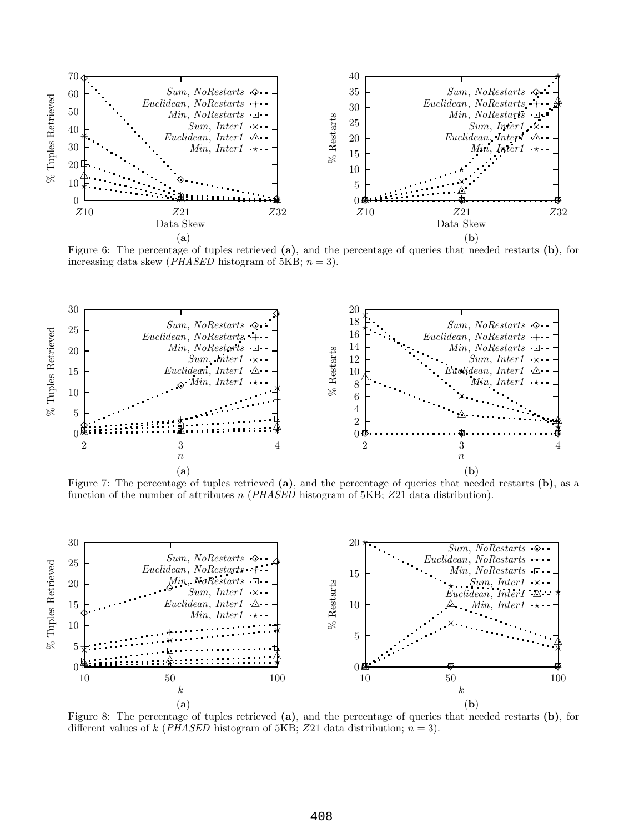

Figure 6: The percentage of tuples retrieved **(a)**, and the percentage of queries that needed restarts **(b)**, for increasing data skew (*PHASED* histogram of 5KB;  $n = 3$ ).



Figure 7: The percentage of tuples retrieved **(a)**, and the percentage of queries that needed restarts **(b)**, as a function of the number of attributes n ( $PHASED$  histogram of 5KB;  $Z21$  data distribution).



Figure 8: The percentage of tuples retrieved **(a)**, and the percentage of queries that needed restarts **(b)**, for different values of k (PHASED histogram of 5KB; Z21 data distribution;  $n = 3$ ).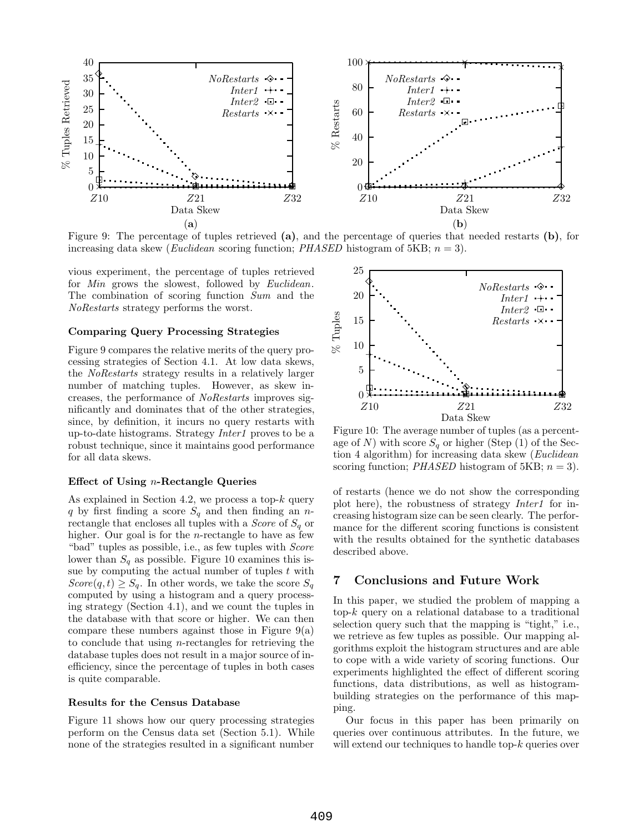

Figure 9: The percentage of tuples retrieved **(a)**, and the percentage of queries that needed restarts **(b)**, for increasing data skew (*Euclidean* scoring function; *PHASED* histogram of 5KB;  $n = 3$ ).

vious experiment, the percentage of tuples retrieved for *Min* grows the slowest, followed by *Euclidean*. The combination of scoring function Sum and the NoRestarts strategy performs the worst.

#### **Comparing Query Processing Strategies**

Figure 9 compares the relative merits of the query processing strategies of Section 4.1. At low data skews, the NoRestarts strategy results in a relatively larger number of matching tuples. However, as skew increases, the performance of NoRestarts improves significantly and dominates that of the other strategies, since, by definition, it incurs no query restarts with up-to-date histograms. Strategy Inter1 proves to be a robust technique, since it maintains good performance for all data skews.

#### **Effect of Using** n**-Rectangle Queries**

As explained in Section 4.2, we process a top- $k$  query q by first finding a score  $S_q$  and then finding an nrectangle that encloses all tuples with a *Score* of  $S_q$  or higher. Our goal is for the *n*-rectangle to have as few "bad" tuples as possible, i.e., as few tuples with Score lower than  $S_q$  as possible. Figure 10 examines this issue by computing the actual number of tuples  $t$  with  $Score(q, t) \geq S_q$ . In other words, we take the score  $S_q$ computed by using a histogram and a query processing strategy (Section 4.1), and we count the tuples in the database with that score or higher. We can then compare these numbers against those in Figure  $9(a)$ to conclude that using n-rectangles for retrieving the database tuples does not result in a major source of inefficiency, since the percentage of tuples in both cases is quite comparable.

#### **Results for the Census Database**

Figure 11 shows how our query processing strategies perform on the Census data set (Section 5.1). While none of the strategies resulted in a significant number



Figure 10: The average number of tuples (as a percentage of N) with score  $S_q$  or higher (Step (1) of the Section 4 algorithm) for increasing data skew (Euclidean scoring function; *PHASED* histogram of 5KB;  $n = 3$ ).

of restarts (hence we do not show the corresponding plot here), the robustness of strategy Inter1 for increasing histogram size can be seen clearly. The performance for the different scoring functions is consistent with the results obtained for the synthetic databases described above.

### **7 Conclusions and Future Work**

In this paper, we studied the problem of mapping a top- $k$  query on a relational database to a traditional selection query such that the mapping is "tight," i.e., we retrieve as few tuples as possible. Our mapping algorithms exploit the histogram structures and are able to cope with a wide variety of scoring functions. Our experiments highlighted the effect of different scoring functions, data distributions, as well as histogrambuilding strategies on the performance of this mapping.

Our focus in this paper has been primarily on queries over continuous attributes. In the future, we will extend our techniques to handle top-k queries over